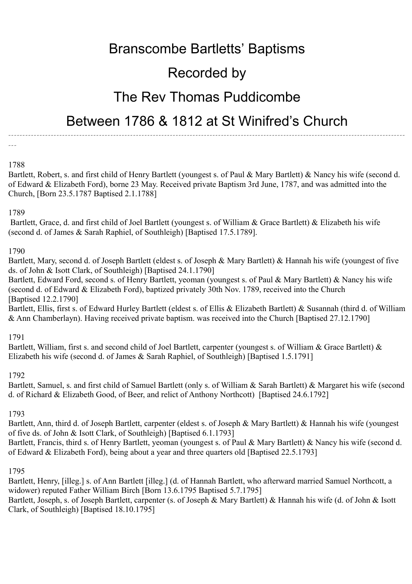# Branscombe Bartletts' Baptisms

# Recorded by

## The Rev Thomas Puddicombe

### Between 1786 & 1812 at St Winifred's Church

--------------------------------------------------------------------------------------------------------------------------------------------

---

### 1788

Bartlett, Robert, s. and first child of Henry Bartlett (youngest s. of Paul & Mary Bartlett) & Nancy his wife (second d. of Edward & Elizabeth Ford), borne 23 May. Received private Baptism 3rd June, 1787, and was admitted into the Church, [Born 23.5.1787 Baptised 2.1.1788]

#### 1789

 Bartlett, Grace, d. and first child of Joel Bartlett (youngest s. of William & Grace Bartlett) & Elizabeth his wife (second d. of James & Sarah Raphiel, of Southleigh) [Baptised 17.5.1789].

#### 1790

Bartlett, Mary, second d. of Joseph Bartlett (eldest s. of Joseph & Mary Bartlett) & Hannah his wife (youngest of five ds. of John & Isott Clark, of Southleigh) [Baptised 24.1.1790]

Bartlett, Edward Ford, second s. of Henry Bartlett, yeoman (youngest s. of Paul & Mary Bartlett) & Nancy his wife (second d. of Edward & Elizabeth Ford), baptized privately 30th Nov. 1789, received into the Church [Baptised 12.2.1790]

Bartlett, Ellis, first s. of Edward Hurley Bartlett (eldest s. of Ellis & Elizabeth Bartlett) & Susannah (third d. of William & Ann Chamberlayn). Having received private baptism. was received into the Church [Baptised 27.12.1790]

1791

Bartlett, William, first s. and second child of Joel Bartlett, carpenter (youngest s. of William & Grace Bartlett) & Elizabeth his wife (second d. of James & Sarah Raphiel, of Southleigh) [Baptised 1.5.1791]

#### 1792

Bartlett, Samuel, s. and first child of Samuel Bartlett (only s. of William & Sarah Bartlett) & Margaret his wife (second d. of Richard & Elizabeth Good, of Beer, and relict of Anthony Northcott) [Baptised 24.6.1792]

#### 1793

Bartlett, Ann, third d. of Joseph Bartlett, carpenter (eldest s. of Joseph & Mary Bartlett) & Hannah his wife (youngest of five ds. of John & Isott Clark, of Southleigh) [Baptised 6.1.1793] Bartlett, Francis, third s. of Henry Bartlett, yeoman (youngest s. of Paul & Mary Bartlett) & Nancy his wife (second d. of Edward & Elizabeth Ford), being about a year and three quarters old [Baptised 22.5.1793]

1795

Bartlett, Henry, [illeg.] s. of Ann Bartlett [illeg.] (d. of Hannah Bartlett, who afterward married Samuel Northcott, a widower) reputed Father William Birch [Born 13.6.1795 Baptised 5.7.1795] Bartlett, Joseph, s. of Joseph Bartlett, carpenter (s. of Joseph & Mary Bartlett) & Hannah his wife (d. of John & Isott

Clark, of Southleigh) [Baptised 18.10.1795]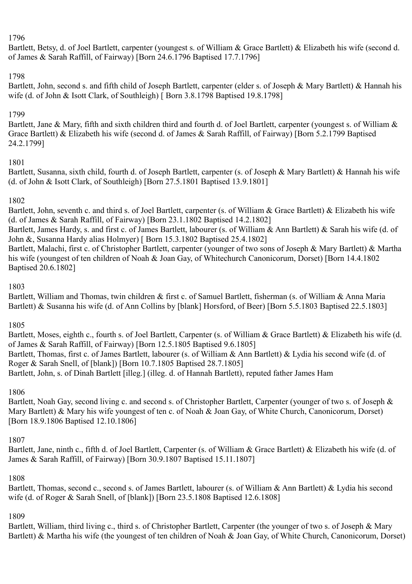#### 1796

Bartlett, Betsy, d. of Joel Bartlett, carpenter (youngest s. of William & Grace Bartlett) & Elizabeth his wife (second d. of James & Sarah Raffill, of Fairway) [Born 24.6.1796 Baptised 17.7.1796]

#### 1798

Bartlett, John, second s. and fifth child of Joseph Bartlett, carpenter (elder s. of Joseph & Mary Bartlett) & Hannah his wife (d. of John & Isott Clark, of Southleigh) [Born 3.8.1798 Baptised 19.8.1798]

#### 1799

Bartlett, Jane & Mary, fifth and sixth children third and fourth d. of Joel Bartlett, carpenter (youngest s. of William & Grace Bartlett) & Elizabeth his wife (second d. of James & Sarah Raffill, of Fairway) [Born 5.2.1799 Baptised 24.2.1799]

#### 1801

Bartlett, Susanna, sixth child, fourth d. of Joseph Bartlett, carpenter (s. of Joseph & Mary Bartlett) & Hannah his wife (d. of John & Isott Clark, of Southleigh) [Born 27.5.1801 Baptised 13.9.1801]

#### 1802

Bartlett, John, seventh c. and third s. of Joel Bartlett, carpenter (s. of William & Grace Bartlett) & Elizabeth his wife (d. of James & Sarah Raffill, of Fairway) [Born 23.1.1802 Baptised 14.2.1802]

Bartlett, James Hardy, s. and first c. of James Bartlett, labourer (s. of William & Ann Bartlett) & Sarah his wife (d. of John &, Susanna Hardy alias Holmyer) [ Born 15.3.1802 Baptised 25.4.1802]

Bartlett, Malachi, first c. of Christopher Bartlett, carpenter (younger of two sons of Joseph & Mary Bartlett) & Martha his wife (youngest of ten children of Noah & Joan Gay, of Whitechurch Canonicorum, Dorset) [Born 14.4.1802 Baptised 20.6.1802]

#### 1803

Bartlett, William and Thomas, twin children & first c. of Samuel Bartlett, fisherman (s. of William & Anna Maria Bartlett) & Susanna his wife (d. of Ann Collins by [blank] Horsford, of Beer) [Born 5.5.1803 Baptised 22.5.1803]

#### 1805

Bartlett, Moses, eighth c., fourth s. of Joel Bartlett, Carpenter (s. of William & Grace Bartlett) & Elizabeth his wife (d. of James & Sarah Raffill, of Fairway) [Born 12.5.1805 Baptised 9.6.1805] Bartlett, Thomas, first c. of James Bartlett, labourer (s. of William & Ann Bartlett) & Lydia his second wife (d. of Roger & Sarah Snell, of [blank]) [Born 10.7.1805 Baptised 28.7.1805] Bartlett, John, s. of Dinah Bartlett [illeg.] (illeg. d. of Hannah Bartlett), reputed father James Ham

#### 1806

Bartlett, Noah Gay, second living c. and second s. of Christopher Bartlett, Carpenter (younger of two s. of Joseph & Mary Bartlett) & Mary his wife youngest of ten c. of Noah & Joan Gay, of White Church, Canonicorum, Dorset) [Born 18.9.1806 Baptised 12.10.1806]

#### 1807

Bartlett, Jane, ninth c., fifth d. of Joel Bartlett, Carpenter (s. of William & Grace Bartlett) & Elizabeth his wife (d. of James & Sarah Raffill, of Fairway) [Born 30.9.1807 Baptised 15.11.1807]

#### 1808

Bartlett, Thomas, second c., second s. of James Bartlett, labourer (s. of William & Ann Bartlett) & Lydia his second wife (d. of Roger & Sarah Snell, of [blank]) [Born 23.5.1808 Baptised 12.6.1808]

#### 1809

Bartlett, William, third living c., third s. of Christopher Bartlett, Carpenter (the younger of two s. of Joseph & Mary Bartlett) & Martha his wife (the youngest of ten children of Noah & Joan Gay, of White Church, Canonicorum, Dorset)